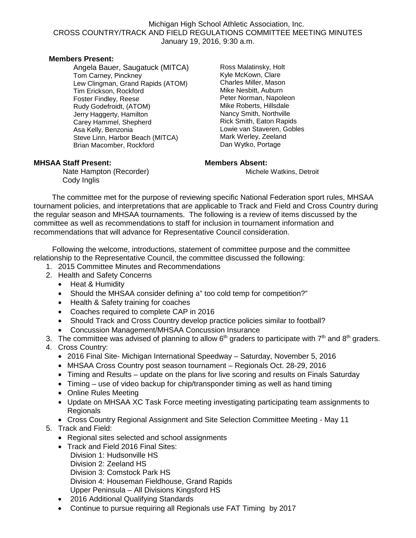### Michigan High School Athletic Association, Inc. CROSS COUNTRY/TRACK AND FIELD REGULATIONS COMMITTEE MEETING MINUTES January 19, 2016, 9:30 a.m.

### **Members Present:**

Angela Bauer, Saugatuck (MITCA) Tom Carney, Pinckney Lew Clingman, Grand Rapids (ATOM) Tim Erickson, Rockford Foster Findley, Reese Rudy Godefroidt, (ATOM) Jerry Haggerty, Hamilton Carey Hammel, Shepherd Asa Kelly, Benzonia Steve Linn, Harbor Beach (MITCA) Brian Macomber, Rockford

Ross Malatinsky, Holt Kyle McKown, Clare Charles Miller, Mason Mike Nesbitt, Auburn Peter Norman, Napoleon Mike Roberts, Hillsdale Nancy Smith, Northville Rick Smith, Eaton Rapids Lowie van Staveren, Gobles Mark Werley, Zeeland Dan Wytko, Portage

### **MHSAA Staff Present: Members Absent:**

Nate Hampton (Recorder) **Michele Watkins, Detroit** Cody Inglis

The committee met for the purpose of reviewing specific National Federation sport rules, MHSAA tournament policies, and interpretations that are applicable to Track and Field and Cross Country during the regular season and MHSAA tournaments. The following is a review of items discussed by the committee as well as recommendations to staff for inclusion in tournament information and recommendations that will advance for Representative Council consideration.

 Following the welcome, introductions, statement of committee purpose and the committee relationship to the Representative Council, the committee discussed the following:

- 1. 2015 Committee Minutes and Recommendations
- 2. Health and Safety Concerns
	- Heat & Humidity
	- Should the MHSAA consider defining a" too cold temp for competition?"
	- Health & Safety training for coaches
	- Coaches required to complete CAP in 2016
	- Should Track and Cross Country develop practice policies similar to football?
	- Concussion Management/MHSAA Concussion Insurance
- 3. The committee was advised of planning to allow  $6<sup>th</sup>$  graders to participate with  $7<sup>th</sup>$  and  $8<sup>th</sup>$  graders.
- 4. Cross Country:
	- 2016 Final Site- Michigan International Speedway Saturday, November 5, 2016
	- MHSAA Cross Country post season tournament Regionals Oct. 28-29, 2016
	- Timing and Results update on the plans for live scoring and results on Finals Saturday
	- Timing use of video backup for chip/transponder timing as well as hand timing
	- Online Rules Meeting
	- Update on MHSAA XC Task Force meeting investigating participating team assignments to Regionals
	- Cross Country Regional Assignment and Site Selection Committee Meeting May 11
- 5. Track and Field:
	- Regional sites selected and school assignments
	- Track and Field 2016 Final Sites: Division 1: Hudsonville HS Division 2: Zeeland HS Division 3: Comstock Park HS Division 4: Houseman Fieldhouse, Grand Rapids Upper Peninsula – All Divisions Kingsford HS
	- 2016 Additional Qualifying Standards
	- Continue to pursue requiring all Regionals use FAT Timing by 2017